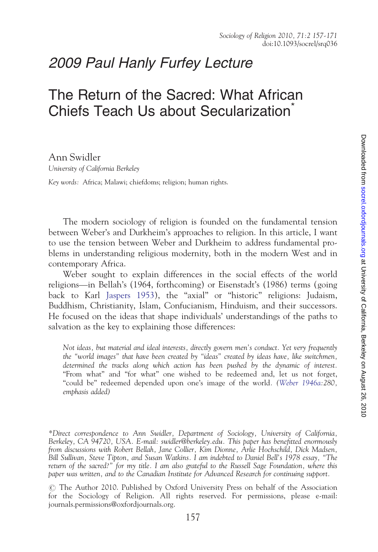## 2009 Paul Hanly Furfey Lecture

# The Return of the Sacred: What African Chiefs Teach Us about Secularization<sup>®</sup>

Ann Swidler University of California Berkeley Key words: Africa; Malawi; chiefdoms; religion; human rights.

The modern sociology of religion is founded on the fundamental tension between Weber's and Durkheim's approaches to religion. In this article, I want to use the tension between Weber and Durkheim to address fundamental problems in understanding religious modernity, both in the modern West and in contemporary Africa.

Weber sought to explain differences in the social effects of the world religions—in Bellah's (1964, forthcoming) or Eisenstadt's (1986) terms (going back to Karl [Jaspers 1953](#page-13-0)), the "axial" or "historic" religions: Judaism, Buddhism, Christianity, Islam, Confucianism, Hinduism, and their successors. He focused on the ideas that shape individuals' understandings of the paths to salvation as the key to explaining those differences:

Not ideas, but material and ideal interests, directly govern men's conduct. Yet very frequently the "world images" that have been created by "ideas" created by ideas have, like switchmen, determined the tracks along which action has been pushed by the dynamic of interest. "From what" and "for what" one wished to be redeemed and, let us not forget, "could be" redeemed depended upon one's image of the world. [\(Weber 1946a](#page-13-0):280, emphasis added)

<sup>\*</sup>Direct correspondence to Ann Swidler, Department of Sociology, University of California, Berkeley, CA 94720, USA. E-mail: swidler@berkeley.edu. This paper has benefitted enormously from discussions with Robert Bellah, Jane Collier, Kim Dionne, Arlie Hochschild, Dick Madsen, Bill Sullivan, Steve Tipton, and Susan Watkins. I am indebted to Daniel Bell's 1978 essay, "The return of the sacred?" for my title. I am also grateful to the Russell Sage Foundation, where this paper was written, and to the Canadian Institute for Advanced Research for continuing support.

<sup>#</sup> The Author 2010. Published by Oxford University Press on behalf of the Association for the Sociology of Religion. All rights reserved. For permissions, please e-mail: journals.permissions@oxfordjournals.org.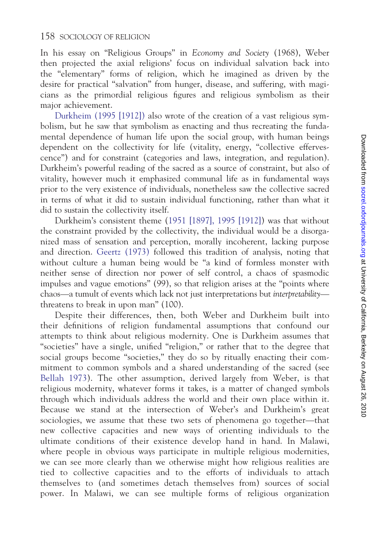In his essay on "Religious Groups" in Economy and Society (1968), Weber then projected the axial religions' focus on individual salvation back into the "elementary" forms of religion, which he imagined as driven by the desire for practical "salvation" from hunger, disease, and suffering, with magicians as the primordial religious figures and religious symbolism as their major achievement.

[Durkheim \(1995 \[1912\]\)](#page-12-0) also wrote of the creation of a vast religious symbolism, but he saw that symbolism as enacting and thus recreating the fundamental dependence of human life upon the social group, with human beings dependent on the collectivity for life (vitality, energy, "collective effervescence") and for constraint (categories and laws, integration, and regulation). Durkheim's powerful reading of the sacred as a source of constraint, but also of vitality, however much it emphasized communal life as in fundamental ways prior to the very existence of individuals, nonetheless saw the collective sacred in terms of what it did to sustain individual functioning, rather than what it did to sustain the collectivity itself.

Durkheim's consistent theme ([1951 \[1897\], 1995 \[1912\]\)](#page-12-0) was that without the constraint provided by the collectivity, the individual would be a disorganized mass of sensation and perception, morally incoherent, lacking purpose and direction. [Geertz \(1973\)](#page-12-0) followed this tradition of analysis, noting that without culture a human being would be "a kind of formless monster with neither sense of direction nor power of self control, a chaos of spasmodic impulses and vague emotions" (99), so that religion arises at the "points where chaos—a tumult of events which lack not just interpretations but interpretability threatens to break in upon man" (100).

Despite their differences, then, both Weber and Durkheim built into their definitions of religion fundamental assumptions that confound our attempts to think about religious modernity. One is Durkheim assumes that "societies" have a single, unified "religion," or rather that to the degree that social groups become "societies," they do so by ritually enacting their commitment to common symbols and a shared understanding of the sacred (see [Bellah 1973\)](#page-12-0). The other assumption, derived largely from Weber, is that religious modernity, whatever forms it takes, is a matter of changed symbols through which individuals address the world and their own place within it. Because we stand at the intersection of Weber's and Durkheim's great sociologies, we assume that these two sets of phenomena go together—that new collective capacities and new ways of orienting individuals to the ultimate conditions of their existence develop hand in hand. In Malawi, where people in obvious ways participate in multiple religious modernities, we can see more clearly than we otherwise might how religious realities are tied to collective capacities and to the efforts of individuals to attach themselves to (and sometimes detach themselves from) sources of social power. In Malawi, we can see multiple forms of religious organization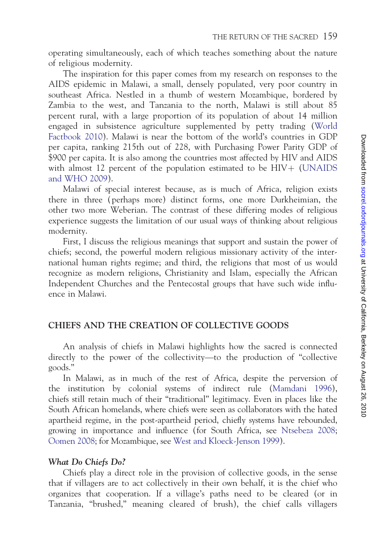operating simultaneously, each of which teaches something about the nature of religious modernity.

The inspiration for this paper comes from my research on responses to the AIDS epidemic in Malawi, a small, densely populated, very poor country in southeast Africa. Nestled in a thumb of western Mozambique, bordered by Zambia to the west, and Tanzania to the north, Malawi is still about 85 percent rural, with a large proportion of its population of about 14 million engaged in subsistence agriculture supplemented by petty trading ([World](#page-14-0) [Factbook 2010](#page-14-0)). Malawi is near the bottom of the world's countries in GDP per capita, ranking 215th out of 228, with Purchasing Power Parity GDP of \$900 per capita. It is also among the countries most affected by HIV and AIDS with almost 12 percent of the population estimated to be  $HIV+$  ([UNAIDS](#page-13-0)) [and WHO 2009](#page-13-0)).

Malawi of special interest because, as is much of Africa, religion exists there in three (perhaps more) distinct forms, one more Durkheimian, the other two more Weberian. The contrast of these differing modes of religious experience suggests the limitation of our usual ways of thinking about religious modernity.

First, I discuss the religious meanings that support and sustain the power of chiefs; second, the powerful modern religious missionary activity of the international human rights regime; and third, the religions that most of us would recognize as modern religions, Christianity and Islam, especially the African Independent Churches and the Pentecostal groups that have such wide influence in Malawi.

## CHIEFS AND THE CREATION OF COLLECTIVE GOODS

An analysis of chiefs in Malawi highlights how the sacred is connected directly to the power of the collectivity—to the production of "collective goods."

In Malawi, as in much of the rest of Africa, despite the perversion of the institution by colonial systems of indirect rule ([Mamdani 1996](#page-13-0)), chiefs still retain much of their "traditional" legitimacy. Even in places like the South African homelands, where chiefs were seen as collaborators with the hated apartheid regime, in the post-apartheid period, chiefly systems have rebounded, growing in importance and influence (for South Africa, see [Ntsebeza 2008](#page-13-0); [Oomen 2008](#page-13-0); for Mozambique, see [West and Kloeck-Jenson 1999](#page-14-0)).

## What Do Chiefs Do?

Chiefs play a direct role in the provision of collective goods, in the sense that if villagers are to act collectively in their own behalf, it is the chief who organizes that cooperation. If a village's paths need to be cleared (or in Tanzania, "brushed," meaning cleared of brush), the chief calls villagers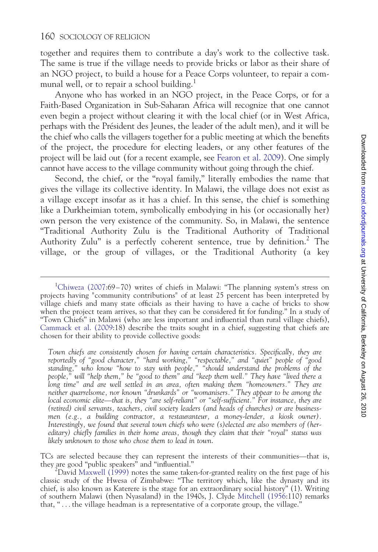together and requires them to contribute a day's work to the collective task. The same is true if the village needs to provide bricks or labor as their share of an NGO project, to build a house for a Peace Corps volunteer, to repair a communal well, or to repair a school building.<sup>1</sup>

Anyone who has worked in an NGO project, in the Peace Corps, or for a Faith-Based Organization in Sub-Saharan Africa will recognize that one cannot even begin a project without clearing it with the local chief (or in West Africa, perhaps with the Président des Jeunes, the leader of the adult men), and it will be the chief who calls the villagers together for a public meeting at which the benefits of the project, the procedure for electing leaders, or any other features of the project will be laid out (for a recent example, see [Fearon et al. 2009\)](#page-12-0). One simply cannot have access to the village community without going through the chief.

Second, the chief, or the "royal family," literally embodies the name that gives the village its collective identity. In Malawi, the village does not exist as a village except insofar as it has a chief. In this sense, the chief is something like a Durkheimian totem, symbolically embodying in his (or occasionally her) own person the very existence of the community. So, in Malawi, the sentence "Traditional Authority Zulu is the Traditional Authority of Traditional Authority Zulu" is a perfectly coherent sentence, true by definition.<sup>2</sup> The village, or the group of villages, or the Traditional Authority (a key

TCs are selected because they can represent the interests of their communities—that is, they are good "public speakers" and "influential." <sup>2</sup>

<sup>&</sup>lt;sup>1</sup>[Chiweza \(2007:](#page-12-0)69-70) writes of chiefs in Malawi: "The planning system's stress on projects having "community contributions" of at least 25 percent has been interpreted by village chiefs and many state officials as their having to have a cache of bricks to show when the project team arrives, so that they can be considered fit for funding." In a study of "Town Chiefs" in Malawi (who are less important and influential than rural village chiefs), [Cammack et al. \(2009:](#page-12-0)18) describe the traits sought in a chief, suggesting that chiefs are chosen for their ability to provide collective goods:

Town chiefs are consistently chosen for having certain characteristics. Specifically, they are reportedly of "good character," "hard working," "respectable," and "quiet" people of "good standing," who know "how to stay with people," "should understand the problems of the people," will "help them," be "good to them" and "keep them well." They have "lived there a long time" and are well settled in an area, often making them "homeowners." They are neither quarrelsome, nor known "drunkards" or "womanisers." They appear to be among the local economic elite—that is, they "are self-reliant" or "self-sufficient." For instance, they are (retired) civil servants, teachers, civil society leaders (and heads of churches) or are businessmen (e.g., a building contractor, a restauranteur, a money-lender, a kiosk owner). Interestingly, we found that several town chiefs who were (s)elected are also members of (hereditary) chiefly families in their home areas, though they claim that their "royal" status was likely unknown to those who chose them to lead in town.

<sup>&</sup>lt;sup>2</sup>David [Maxwell \(1999\)](#page-13-0) notes the same taken-for-granted reality on the first page of his classic study of the Hwesa of Zimbabwe: "The territory which, like the dynasty and its chief, is also known as Katerere is the stage for an extraordinary social history" (1). Writing of southern Malawi (then Nyasaland) in the 1940s, J. Clyde [Mitchell \(1956](#page-13-0):110) remarks that, " ... the village headman is a representative of a corporate group, the village."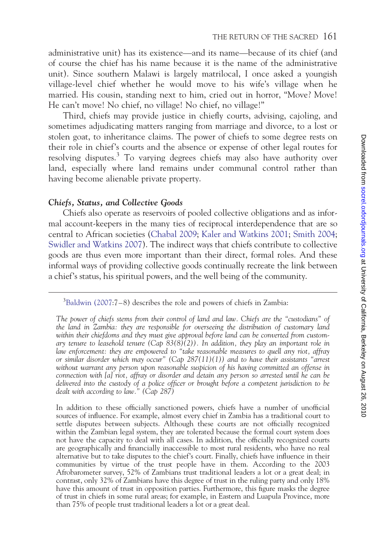administrative unit) has its existence—and its name—because of its chief (and of course the chief has his name because it is the name of the administrative unit). Since southern Malawi is largely matrilocal, I once asked a youngish village-level chief whether he would move to his wife's village when he married. His cousin, standing next to him, cried out in horror, "Move? Move! He can't move! No chief, no village! No chief, no village!"

Third, chiefs may provide justice in chiefly courts, advising, cajoling, and sometimes adjudicating matters ranging from marriage and divorce, to a lost or stolen goat, to inheritance claims. The power of chiefs to some degree rests on their role in chief's courts and the absence or expense of other legal routes for resolving disputes.<sup>3</sup> To varying degrees chiefs may also have authority over land, especially where land remains under communal control rather than having become alienable private property.

### Chiefs, Status, and Collective Goods

Chiefs also operate as reservoirs of pooled collective obligations and as informal account-keepers in the many ties of reciprocal interdependence that are so central to African societies [\(Chabal 2009;](#page-12-0) [Kaler and Watkins 2001](#page-13-0); [Smith 2004](#page-13-0); [Swidler and Watkins 2007](#page-13-0)). The indirect ways that chiefs contribute to collective goods are thus even more important than their direct, formal roles. And these informal ways of providing collective goods continually recreate the link between a chief's status, his spiritual powers, and the well being of the community.

In addition to these officially sanctioned powers, chiefs have a number of unofficial sources of influence. For example, almost every chief in Zambia has a traditional court to settle disputes between subjects. Although these courts are not officially recognized within the Zambian legal system, they are tolerated because the formal court system does not have the capacity to deal with all cases. In addition, the officially recognized courts are geographically and financially inaccessible to most rural residents, who have no real alternative but to take disputes to the chief's court. Finally, chiefs have influence in their communities by virtue of the trust people have in them. According to the 2003 Afrobarometer survey, 52% of Zambians trust traditional leaders a lot or a great deal; in contrast, only 32% of Zambians have this degree of trust in the ruling party and only 18% have this amount of trust in opposition parties. Furthermore, this figure masks the degree of trust in chiefs in some rural areas; for example, in Eastern and Luapula Province, more than 75% of people trust traditional leaders a lot or a great deal.

 $3$ [Baldwin \(2007:](#page-11-0)7-8) describes the role and powers of chiefs in Zambia:

The power of chiefs stems from their control of land and law. Chiefs are the "custodians" of the land in Zambia: they are responsible for overseeing the distribution of customary land within their chiefdoms and they must give approval before land can be converted from customary tenure to leasehold tenure  $(Cap 83(8)(2))$ . In addition, they play an important role in law enforcement: they are empowered to "take reasonable measures to quell any riot, affray or similar disorder which may occur" (Cap  $287(11)(1)$ ) and to have their assistants "arrest without warrant any person upon reasonable suspicion of his having committed an offense in connection with [a] riot, affray or disorder and detain any person so arrested until he can be delivered into the custody of a police officer or brought before a competent jurisdiction to be dealt with according to law." (Cap 287)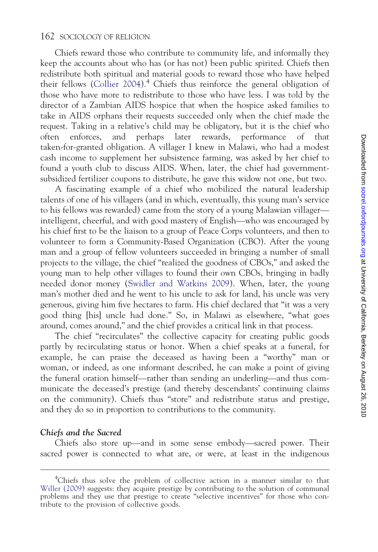Chiefs reward those who contribute to community life, and informally they keep the accounts about who has (or has not) been public spirited. Chiefs then redistribute both spiritual and material goods to reward those who have helped their fellows [\(Collier 2004](#page-12-0)).<sup>4</sup> Chiefs thus reinforce the general obligation of those who have more to redistribute to those who have less. I was told by the director of a Zambian AIDS hospice that when the hospice asked families to take in AIDS orphans their requests succeeded only when the chief made the request. Taking in a relative's child may be obligatory, but it is the chief who often enforces, and perhaps later rewards, performance of that taken-for-granted obligation. A villager I knew in Malawi, who had a modest cash income to supplement her subsistence farming, was asked by her chief to found a youth club to discuss AIDS. When, later, the chief had governmentsubsidized fertilizer coupons to distribute, he gave this widow not one, but two.

A fascinating example of a chief who mobilized the natural leadership talents of one of his villagers (and in which, eventually, this young man's service to his fellows was rewarded) came from the story of a young Malawian villager intelligent, cheerful, and with good mastery of English—who was encouraged by his chief first to be the liaison to a group of Peace Corps volunteers, and then to volunteer to form a Community-Based Organization (CBO). After the young man and a group of fellow volunteers succeeded in bringing a number of small projects to the village, the chief "realized the goodness of CBOs," and asked the young man to help other villages to found their own CBOs, bringing in badly needed donor money ([Swidler and Watkins 2009](#page-13-0)). When, later, the young man's mother died and he went to his uncle to ask for land, his uncle was very generous, giving him five hectares to farm. His chief declared that "it was a very good thing [his] uncle had done." So, in Malawi as elsewhere, "what goes around, comes around," and the chief provides a critical link in that process.

The chief "recirculates" the collective capacity for creating public goods partly by recirculating status or honor. When a chief speaks at a funeral, for example, he can praise the deceased as having been a "worthy" man or woman, or indeed, as one informant described, he can make a point of giving the funeral oration himself—rather than sending an underling—and thus communicate the deceased's prestige (and thereby descendants' continuing claims on the community). Chiefs thus "store" and redistribute status and prestige, and they do so in proportion to contributions to the community.

#### Chiefs and the Sacred

Chiefs also store up—and in some sense embody—sacred power. Their sacred power is connected to what are, or were, at least in the indigenous

<sup>&</sup>lt;sup>4</sup>Chiefs thus solve the problem of collective action in a manner similar to that [Willer \(2009\)](#page-14-0) suggests: they acquire prestige by contributing to the solution of communal problems and they use that prestige to create "selective incentives" for those who contribute to the provision of collective goods.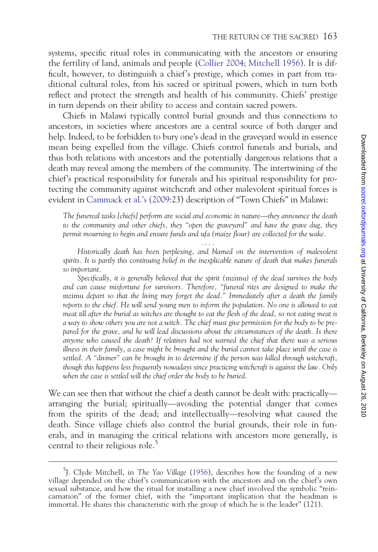systems, specific ritual roles in communicating with the ancestors or ensuring the fertility of land, animals and people ([Collier 2004](#page-12-0); [Mitchell 1956\)](#page-13-0). It is difficult, however, to distinguish a chief's prestige, which comes in part from traditional cultural roles, from his sacred or spiritual powers, which in turn both reflect and protect the strength and health of his community. Chiefs' prestige in turn depends on their ability to access and contain sacred powers.

Chiefs in Malawi typically control burial grounds and thus connections to ancestors, in societies where ancestors are a central source of both danger and help. Indeed, to be forbidden to bury one's dead in the graveyard would in essence mean being expelled from the village. Chiefs control funerals and burials, and thus both relations with ancestors and the potentially dangerous relations that a death may reveal among the members of the community. The intertwining of the chief's practical responsibility for funerals and his spiritual responsibility for protecting the community against witchcraft and other malevolent spiritual forces is evident in [Cammack et al.'s \(2009](#page-12-0):23) description of "Town Chiefs" in Malawi:

The funereal tasks [chiefs] perform are social and economic in nature—they announce the death to the community and other chiefs, they "open the graveyard" and have the grave dug, they permit mourning to begin and ensure funds and ufa (maize flour) are collected for the wake.

... .

Historically death has been perplexing, and blamed on the intervention of malevolent spirits. It is partly this continuing belief in the inexplicable nature of death that makes funerals so important.

Specifically, it is generally believed that the spirit (mzimu) of the dead survives the body and can cause misfortune for survivors. Therefore, "funeral rites are designed to make the mzimu depart so that the living may forget the dead." Immediately after a death the family reports to the chief. He will send young men to inform the population. No one is allowed to eat meat till after the burial as witches are thought to eat the flesh of the dead, so not eating meat is a way to show others you are not a witch. The chief must give permission for the body to be prepared for the grave, and he will lead discussions about the circumstances of the death. Is there anyone who caused the death? If relatives had not warned the chief that there was a serious illness in their family, a case might be brought and the burial cannot take place until the case is settled. A "diviner" can be brought in to determine if the person was killed through witchcraft, though this happens less frequently nowadays since practicing witchcraft is against the law. Only when the case is settled will the chief order the body to be buried.

We can see then that without the chief a death cannot be dealt with: practically arranging the burial; spiritually—avoiding the potential danger that comes from the spirits of the dead; and intellectually—resolving what caused the death. Since village chiefs also control the burial grounds, their role in funerals, and in managing the critical relations with ancestors more generally, is central to their religious role.<sup>5</sup>

<sup>&</sup>lt;sup>5</sup>J. Clyde Mitchell, in *The Yao Village* ([1956\)](#page-13-0), describes how the founding of a new village depended on the chief's communication with the ancestors and on the chief's own sexual substance, and how the ritual for installing a new chief involved the symbolic "reincarnation" of the former chief, with the "important implication that the headman is immortal. He shares this characteristic with the group of which he is the leader" (121).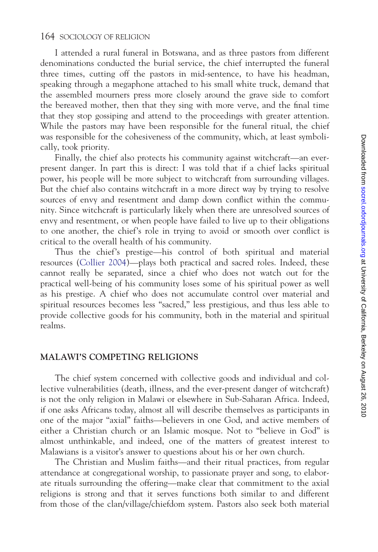I attended a rural funeral in Botswana, and as three pastors from different denominations conducted the burial service, the chief interrupted the funeral three times, cutting off the pastors in mid-sentence, to have his headman, speaking through a megaphone attached to his small white truck, demand that the assembled mourners press more closely around the grave side to comfort the bereaved mother, then that they sing with more verve, and the final time that they stop gossiping and attend to the proceedings with greater attention. While the pastors may have been responsible for the funeral ritual, the chief was responsible for the cohesiveness of the community, which, at least symbolically, took priority.

Finally, the chief also protects his community against witchcraft—an everpresent danger. In part this is direct: I was told that if a chief lacks spiritual power, his people will be more subject to witchcraft from surrounding villages. But the chief also contains witchcraft in a more direct way by trying to resolve sources of envy and resentment and damp down conflict within the community. Since witchcraft is particularly likely when there are unresolved sources of envy and resentment, or when people have failed to live up to their obligations to one another, the chief's role in trying to avoid or smooth over conflict is critical to the overall health of his community.

Thus the chief's prestige—his control of both spiritual and material resources ([Collier 2004](#page-12-0))—plays both practical and sacred roles. Indeed, these cannot really be separated, since a chief who does not watch out for the practical well-being of his community loses some of his spiritual power as well as his prestige. A chief who does not accumulate control over material and spiritual resources becomes less "sacred," less prestigious, and thus less able to provide collective goods for his community, both in the material and spiritual realms.

#### MALAWI'S COMPETING RELIGIONS

The chief system concerned with collective goods and individual and collective vulnerabilities (death, illness, and the ever-present danger of witchcraft) is not the only religion in Malawi or elsewhere in Sub-Saharan Africa. Indeed, if one asks Africans today, almost all will describe themselves as participants in one of the major "axial" faiths—believers in one God, and active members of either a Christian church or an Islamic mosque. Not to "believe in God" is almost unthinkable, and indeed, one of the matters of greatest interest to Malawians is a visitor's answer to questions about his or her own church.

The Christian and Muslim faiths—and their ritual practices, from regular attendance at congregational worship, to passionate prayer and song, to elaborate rituals surrounding the offering—make clear that commitment to the axial religions is strong and that it serves functions both similar to and different from those of the clan/village/chiefdom system. Pastors also seek both material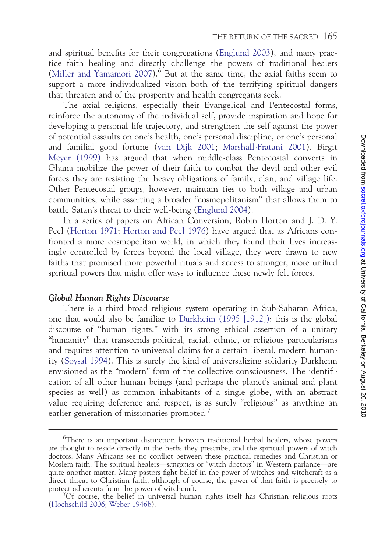and spiritual benefits for their congregations ([Englund 2003\)](#page-12-0), and many practice faith healing and directly challenge the powers of traditional healers [\(Miller and Yamamori 2007\)](#page-13-0).<sup>6</sup> But at the same time, the axial faiths seem to support a more individualized vision both of the terrifying spiritual dangers that threaten and of the prosperity and health congregants seek.

The axial religions, especially their Evangelical and Pentecostal forms, reinforce the autonomy of the individual self, provide inspiration and hope for developing a personal life trajectory, and strengthen the self against the power of potential assaults on one's health, one's personal discipline, or one's personal and familial good fortune [\(van Dijk 2001;](#page-13-0) [Marshall-Fratani 2001](#page-13-0)). Birgit [Meyer \(1999\)](#page-13-0) has argued that when middle-class Pentecostal converts in Ghana mobilize the power of their faith to combat the devil and other evil forces they are resisting the heavy obligations of family, clan, and village life. Other Pentecostal groups, however, maintain ties to both village and urban communities, while asserting a broader "cosmopolitanism" that allows them to battle Satan's threat to their well-being [\(Englund 2004\)](#page-12-0).

In a series of papers on African Conversion, Robin Horton and J. D. Y. Peel ([Horton 1971;](#page-13-0) [Horton and Peel 1976\)](#page-13-0) have argued that as Africans confronted a more cosmopolitan world, in which they found their lives increasingly controlled by forces beyond the local village, they were drawn to new faiths that promised more powerful rituals and access to stronger, more unified spiritual powers that might offer ways to influence these newly felt forces.

#### Global Human Rights Discourse

There is a third broad religious system operating in Sub-Saharan Africa, one that would also be familiar to [Durkheim \(1995 \[1912\]\):](#page-12-0) this is the global discourse of "human rights," with its strong ethical assertion of a unitary "humanity" that transcends political, racial, ethnic, or religious particularisms and requires attention to universal claims for a certain liberal, modern humanity ([Soysal 1994](#page-13-0)). This is surely the kind of universalizing solidarity Durkheim envisioned as the "modern" form of the collective consciousness. The identification of all other human beings (and perhaps the planet's animal and plant species as well) as common inhabitants of a single globe, with an abstract value requiring deference and respect, is as surely "religious" as anything an earlier generation of missionaries promoted.<sup>7</sup>

<sup>&</sup>lt;sup>6</sup>There is an important distinction between traditional herbal healers, whose powers are thought to reside directly in the herbs they prescribe, and the spiritual powers of witch doctors. Many Africans see no conflict between these practical remedies and Christian or Moslem faith. The spiritual healers—sangomas or "witch doctors" in Western parlance—are quite another matter. Many pastors fight belief in the power of witches and witchcraft as a direct threat to Christian faith, although of course, the power of that faith is precisely to protect adherents from the power of witchcraft. <sup>7</sup>

 $^7$ Of course, the belief in universal human rights itself has Christian religious roots ([Hochschild 2006](#page-12-0); [Weber 1946b](#page-13-0)).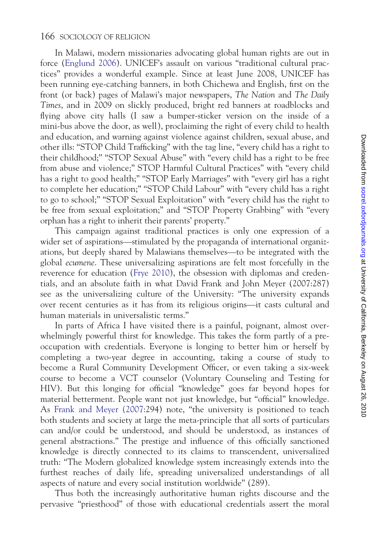In Malawi, modern missionaries advocating global human rights are out in force [\(Englund 2006\)](#page-12-0). UNICEF's assault on various "traditional cultural practices" provides a wonderful example. Since at least June 2008, UNICEF has been running eye-catching banners, in both Chichewa and English, first on the front (or back) pages of Malawi's major newspapers, The Nation and The Daily Times, and in 2009 on slickly produced, bright red banners at roadblocks and flying above city halls (I saw a bumper-sticker version on the inside of a mini-bus above the door, as well), proclaiming the right of every child to health and education, and warning against violence against children, sexual abuse, and other ills: "STOP Child Trafficking" with the tag line, "every child has a right to their childhood;" "STOP Sexual Abuse" with "every child has a right to be free from abuse and violence;" STOP Harmful Cultural Practices" with "every child has a right to good health;" "STOP Early Marriages" with "every girl has a right to complete her education;" "STOP Child Labour" with "every child has a right to go to school;" "STOP Sexual Exploitation" with "every child has the right to be free from sexual exploitation;" and "STOP Property Grabbing" with "every orphan has a right to inherit their parents' property."

This campaign against traditional practices is only one expression of a wider set of aspirations—stimulated by the propaganda of international organizations, but deeply shared by Malawians themselves—to be integrated with the global ecumene. These universalizing aspirations are felt most forcefully in the reverence for education [\(Frye 2010](#page-12-0)), the obsession with diplomas and credentials, and an absolute faith in what David Frank and John Meyer (2007:287) see as the universalizing culture of the University: "The university expands over recent centuries as it has from its religious origins—it casts cultural and human materials in universalistic terms."

In parts of Africa I have visited there is a painful, poignant, almost overwhelmingly powerful thirst for knowledge. This takes the form partly of a preoccupation with credentials. Everyone is longing to better him or herself by completing a two-year degree in accounting, taking a course of study to become a Rural Community Development Officer, or even taking a six-week course to become a VCT counselor (Voluntary Counseling and Testing for HIV). But this longing for official "knowledge" goes far beyond hopes for material betterment. People want not just knowledge, but "official" knowledge. As [Frank and Meyer \(2007:](#page-12-0)294) note, "the university is positioned to teach both students and society at large the meta-principle that all sorts of particulars can and/or could be understood, and should be understood, as instances of general abstractions." The prestige and influence of this officially sanctioned knowledge is directly connected to its claims to transcendent, universalized truth: "The Modern globalized knowledge system increasingly extends into the furthest reaches of daily life, spreading universalized understandings of all aspects of nature and every social institution worldwide" (289).

Thus both the increasingly authoritative human rights discourse and the pervasive "priesthood" of those with educational credentials assert the moral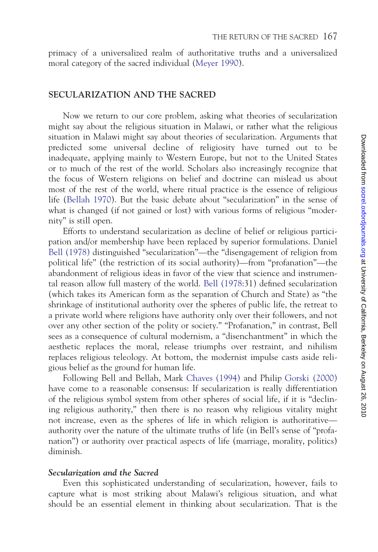primacy of a universalized realm of authoritative truths and a universalized moral category of the sacred individual [\(Meyer 1990](#page-13-0)).

#### SECULARIZATION AND THE SACRED

Now we return to our core problem, asking what theories of secularization might say about the religious situation in Malawi, or rather what the religious situation in Malawi might say about theories of secularization. Arguments that predicted some universal decline of religiosity have turned out to be inadequate, applying mainly to Western Europe, but not to the United States or to much of the rest of the world. Scholars also increasingly recognize that the focus of Western religions on belief and doctrine can mislead us about most of the rest of the world, where ritual practice is the essence of religious life ([Bellah 1970\)](#page-12-0). But the basic debate about "secularization" in the sense of what is changed (if not gained or lost) with various forms of religious "modernity" is still open.

Efforts to understand secularization as decline of belief or religious participation and/or membership have been replaced by superior formulations. Daniel [Bell \(1978\)](#page-11-0) distinguished "secularization"—the "disengagement of religion from political life" (the restriction of its social authority)—from "profanation"—the abandonment of religious ideas in favor of the view that science and instrumental reason allow full mastery of the world. [Bell \(1978:](#page-11-0)31) defined secularization (which takes its American form as the separation of Church and State) as "the shrinkage of institutional authority over the spheres of public life, the retreat to a private world where religions have authority only over their followers, and not over any other section of the polity or society." "Profanation," in contrast, Bell sees as a consequence of cultural modernism, a "disenchantment" in which the aesthetic replaces the moral, release triumphs over restraint, and nihilism replaces religious teleology. At bottom, the modernist impulse casts aside religious belief as the ground for human life.

Following Bell and Bellah, Mark [Chaves \(1994\)](#page-12-0) and Philip [Gorski \(2000\)](#page-12-0) have come to a reasonable consensus: If secularization is really differentiation of the religious symbol system from other spheres of social life, if it is "declining religious authority," then there is no reason why religious vitality might not increase, even as the spheres of life in which religion is authoritative authority over the nature of the ultimate truths of life (in Bell's sense of "profanation") or authority over practical aspects of life (marriage, morality, politics) diminish.

#### Secularization and the Sacred

Even this sophisticated understanding of secularization, however, fails to capture what is most striking about Malawi's religious situation, and what should be an essential element in thinking about secularization. That is the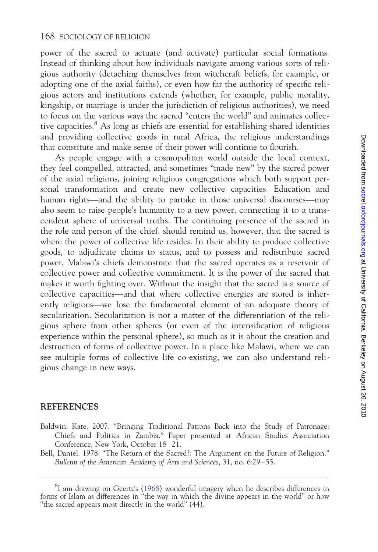<span id="page-11-0"></span>power of the sacred to actuate (and activate) particular social formations. Instead of thinking about how individuals navigate among various sorts of religious authority (detaching themselves from witchcraft beliefs, for example, or adopting one of the axial faiths), or even how far the authority of specific religious actors and institutions extends (whether, for example, public morality, kingship, or marriage is under the jurisdiction of religious authorities), we need to focus on the various ways the sacred "enters the world" and animates collective capacities.<sup>8</sup> As long as chiefs are essential for establishing shared identities and providing collective goods in rural Africa, the religious understandings that constitute and make sense of their power will continue to flourish.

As people engage with a cosmopolitan world outside the local context, they feel compelled, attracted, and sometimes "made new" by the sacred power of the axial religions, joining religious congregations which both support personal transformation and create new collective capacities. Education and human rights—and the ability to partake in those universal discourses—may also seem to raise people's humanity to a new power, connecting it to a transcendent sphere of universal truths. The continuing presence of the sacred in the role and person of the chief, should remind us, however, that the sacred is where the power of collective life resides. In their ability to produce collective goods, to adjudicate claims to status, and to possess and redistribute sacred power, Malawi's chiefs demonstrate that the sacred operates as a reservoir of collective power and collective commitment. It is the power of the sacred that makes it worth fighting over. Without the insight that the sacred is a source of collective capacities—and that where collective energies are stored is inherently religious—we lose the fundamental element of an adequate theory of secularization. Secularization is not a matter of the differentiation of the religious sphere from other spheres (or even of the intensification of religious experience within the personal sphere), so much as it is about the creation and destruction of forms of collective power. In a place like Malawi, where we can see multiple forms of collective life co-existing, we can also understand religious change in new ways.

#### REFERENCES

- Baldwin, Kate. 2007. "Bringing Traditional Patrons Back into the Study of Patronage: Chiefs and Politics in Zambia." Paper presented at African Studies Association Conference, New York, October 18–21.
- Bell, Daniel. 1978. "The Return of the Sacred?: The Argument on the Future of Religion." Bulletin of the American Academy of Arts and Sciences, 31, no. 6:29–55.

<sup>&</sup>lt;sup>8</sup>I am drawing on Geertz's [\(1968](#page-12-0)) wonderful imagery when he describes differences in forms of Islam as differences in "the way in which the divine appears in the world" or how "the sacred appears most directly in the world" (44).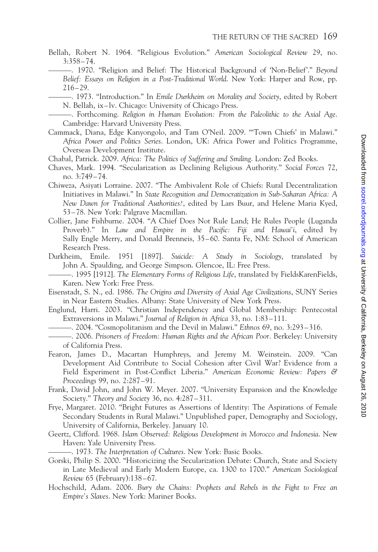<span id="page-12-0"></span>Bellah, Robert N. 1964. "Religious Evolution." American Sociological Review 29, no. 3:358–74.

-. 1970. "Religion and Belief: The Historical Background of 'Non-Belief'." Beyond Belief: Essays on Religion in a Post-Traditional World. New York: Harper and Row, pp. 216–29.

- ———. 1973. "Introduction." In Emile Durkheim on Morality and Society, edited by Robert N. Bellah, ix–lv. Chicago: University of Chicago Press.
- ———. Forthcoming. Religion in Human Evolution: From the Paleolithic to the Axial Age. Cambridge: Harvard University Press.
- Cammack, Diana, Edge Kanyongolo, and Tam O'Neil. 2009. "'Town Chiefs' in Malawi." Africa Power and Politics Series. London, UK: Africa Power and Politics Programme, Overseas Development Institute.
- Chabal, Patrick. 2009. Africa: The Politics of Suffering and Smiling. London: Zed Books.
- Chaves, Mark. 1994. "Secularization as Declining Religious Authority." Social Forces 72, no. 3:749–74.
- Chiweza, Asiyati Lorraine. 2007. "The Ambivalent Role of Chiefs: Rural Decentralization Initiatives in Malawi." In State Recognition and Democratization in Sub-Saharan Africa: A New Dawn for Traditional Authorities?, edited by Lars Buur, and Helene Maria Kyed, 53–78. New York: Palgrave Macmillan.
- Collier, Jane Fishburne. 2004. "A Chief Does Not Rule Land; He Rules People (Luganda Proverb)." In Law and Empire in the Pacific: Fiji and Hawai'i, edited by Sally Engle Merry, and Donald Brenneis, 35–60. Santa Fe, NM: School of American Research Press.
- Durkheim, Emile. 1951 [1897]. Suicide: A Study in Sociology, translated by John A. Spaulding, and George Simpson. Glencoe, IL: Free Press.
	- ———. 1995 [1912]. The Elementary Forms of Religious Life, translated by FieldsKarenFields, Karen. New York: Free Press.
- Eisenstadt, S. N., ed. 1986. The Origins and Diversity of Axial Age Civilizations, SUNY Series in Near Eastern Studies. Albany: State University of New York Press.
- Englund, Harri. 2003. "Christian Independency and Global Membership: Pentecostal Extraversions in Malawi." Journal of Religion in Africa 33, no. 1:83–111.
	- ———. 2004. "Cosmopolitanism and the Devil in Malawi." Ethnos 69, no. 3:293–316.
- ———. 2006. Prisoners of Freedom: Human Rights and the African Poor. Berkeley: University of California Press.
- Fearon, James D., Macartan Humphreys, and Jeremy M. Weinstein. 2009. "Can Development Aid Contribute to Social Cohesion after Civil War? Evidence from a Field Experiment in Post-Conflict Liberia." American Economic Review: Papers & Proceedings 99, no. 2:287–91.
- Frank, David John, and John W. Meyer. 2007. "University Expansion and the Knowledge Society." Theory and Society 36, no. 4:287–311.
- Frye, Margaret. 2010. "Bright Futures as Assertions of Identity: The Aspirations of Female Secondary Students in Rural Malawi." Unpublished paper, Demography and Sociology, University of California, Berkeley. January 10.
- Geertz, Clifford. 1968. Islam Observed: Religious Development in Morocco and Indonesia. New Haven: Yale University Press.
	- ———. 1973. The Interpretation of Cultures. New York: Basic Books.
- Gorski, Philip S. 2000. "Historicizing the Secularization Debate: Church, State and Society in Late Medieval and Early Modern Europe, ca. 1300 to 1700." American Sociological Review 65 (February):138–67.
- Hochschild, Adam. 2006. Bury the Chains: Prophets and Rebels in the Fight to Free an Empire's Slaves. New York: Mariner Books.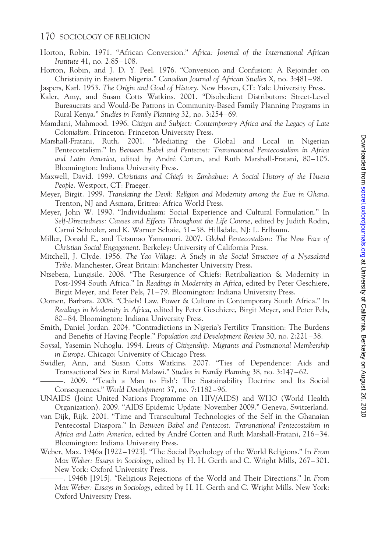- <span id="page-13-0"></span>Horton, Robin. 1971. "African Conversion." Africa: Journal of the International African Institute 41, no. 2:85–108.
- Horton, Robin, and J. D. Y. Peel. 1976. "Conversion and Confusion: A Rejoinder on Christianity in Eastern Nigeria." Canadian Journal of African Studies X, no. 3:481–98.

Jaspers, Karl. 1953. The Origin and Goal of History. New Haven, CT: Yale University Press.

- Kaler, Amy, and Susan Cotts Watkins. 2001. "Disobedient Distributors: Street-Level Bureaucrats and Would-Be Patrons in Community-Based Family Planning Programs in Rural Kenya." Studies in Family Planning 32, no. 3:254–69.
- Mamdani, Mahmood. 1996. Citizen and Subject: Contemporary Africa and the Legacy of Late Colonialism. Princeton: Princeton University Press.
- Marshall-Fratani, Ruth. 2001. "Mediating the Global and Local in Nigerian Pentecostalism." In Between Babel and Pentecost: Transnational Pentecostalism in Africa and Latin America, edited by André Corten, and Ruth Marshall-Fratani, 80-105. Bloomington: Indiana University Press.
- Maxwell, David. 1999. Christians and Chiefs in Zimbabwe: A Social History of the Hwesa People. Westport, CT: Praeger.
- Meyer, Birgit. 1999. Translating the Devil: Religion and Modernity among the Ewe in Ghana. Trenton, NJ and Asmara, Eritrea: Africa World Press.
- Meyer, John W. 1990. "Individualism: Social Experience and Cultural Formulation." In Self-Directedness: Causes and Effects Throughout the Life Course, edited by Judith Rodin, Carmi Schooler, and K. Warner Schaie, 51–58. Hillsdale, NJ: L. Erlbaum.
- Miller, Donald E., and Tetsunao Yamamori. 2007. Global Pentecostalism: The New Face of Christian Social Engagement. Berkeley: University of California Press.
- Mitchell, J. Clyde. 1956. The Yao Village: A Study in the Social Structure of a Nyasaland Tribe. Manchester, Great Britain: Manchester University Press.
- Ntsebeza, Lungisile. 2008. "The Resurgence of Chiefs: Retribalization & Modernity in Post-1994 South Africa." In Readings in Modernity in Africa, edited by Peter Geschiere, Birgit Meyer, and Peter Pels, 71–79. Bloomington: Indiana University Press.
- Oomen, Barbara. 2008. "Chiefs! Law, Power & Culture in Contemporary South Africa." In Readings in Modernity in Africa, edited by Peter Geschiere, Birgit Meyer, and Peter Pels, 80–84. Bloomington: Indiana University Press.
- Smith, Daniel Jordan. 2004. "Contradictions in Nigeria's Fertility Transition: The Burdens and Benefits of Having People." Population and Development Review 30, no. 2:221–38.
- Soysal, Yasemin Nuhoglu. 1994. Limits of Citizenship: Migrants and Postnational Membership in Europe. Chicago: University of Chicago Press.
- Swidler, Ann, and Susan Cotts Watkins. 2007. "Ties of Dependence: Aids and Transactional Sex in Rural Malawi." Studies in Family Planning 38, no. 3:147–62.

———. 2009. "'Teach a Man to Fish': The Sustainability Doctrine and Its Social Consequences." World Development 37, no. 7:1182–96.

UNAIDS (Joint United Nations Programme on HIV/AIDS) and WHO (World Health Organization). 2009. "AIDS Epidemic Update: November 2009." Geneva, Switzerland.

- van Dijk, Rijk. 2001. "Time and Transcultural Technologies of the Self in the Ghanaian Pentecostal Diaspora." In Between Babel and Pentecost: Transnational Pentecostalism in Africa and Latin America, edited by Andre´ Corten and Ruth Marshall-Fratani, 216–34. Bloomington: Indiana University Press.
- Weber, Max. 1946a [1922–1923]. "The Social Psychology of the World Religions." In From Max Weber: Essays in Sociology, edited by H. H. Gerth and C. Wright Mills, 267–301. New York: Oxford University Press.
	- -. 1946b [1915]. "Religious Rejections of the World and Their Directions." In From Max Weber: Essays in Sociology, edited by H. H. Gerth and C. Wright Mills. New York: Oxford University Press.